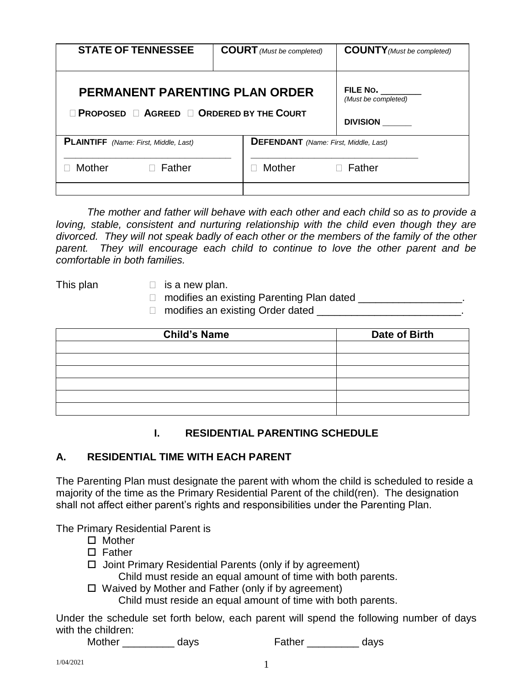| <b>STATE OF TENNESSEE</b>                                                                   | <b>COURT</b> (Must be completed)                                 | <b>COUNTY</b> (Must be completed) |
|---------------------------------------------------------------------------------------------|------------------------------------------------------------------|-----------------------------------|
| PERMANENT PARENTING PLAN ORDER<br>$\Box$ Proposed $\Box$ Agreed $\Box$ Ordered by the Court | FILE No. $\frac{1}{2}$<br>(Must be completed)<br><b>DIVISION</b> |                                   |
| <b>PLAINTIFF</b> (Name: First, Middle, Last)                                                | <b>DEFENDANT</b> (Name: First, Middle, Last)                     |                                   |
| <b>Mother</b><br>$\Box$ Father                                                              | Mother                                                           | $\Box$ Father                     |

*The mother and father will behave with each other and each child so as to provide a*  loving, stable, consistent and nurturing relationship with the child even though they are *divorced. They will not speak badly of each other or the members of the family of the other parent. They will encourage each child to continue to love the other parent and be comfortable in both families.* 

- This plan  $\Box$  is a new plan.
	- □ modifies an existing Parenting Plan dated \_\_\_\_\_\_\_\_\_\_\_\_\_\_\_\_\_\_.
	- $\Box$  modifies an existing Order dated

| <b>Child's Name</b> | Date of Birth |
|---------------------|---------------|
|                     |               |
|                     |               |
|                     |               |
|                     |               |
|                     |               |
|                     |               |

# **I. RESIDENTIAL PARENTING SCHEDULE**

# **A. RESIDENTIAL TIME WITH EACH PARENT**

The Parenting Plan must designate the parent with whom the child is scheduled to reside a majority of the time as the Primary Residential Parent of the child(ren). The designation shall not affect either parent's rights and responsibilities under the Parenting Plan.

The Primary Residential Parent is

- □ Mother
- $\square$  Father
- $\Box$  Joint Primary Residential Parents (only if by agreement)

Child must reside an equal amount of time with both parents.

 $\Box$  Waived by Mother and Father (only if by agreement)

Child must reside an equal amount of time with both parents.

Under the schedule set forth below, each parent will spend the following number of days with the children:

Mother days Father days Reserves

1/04/2021 1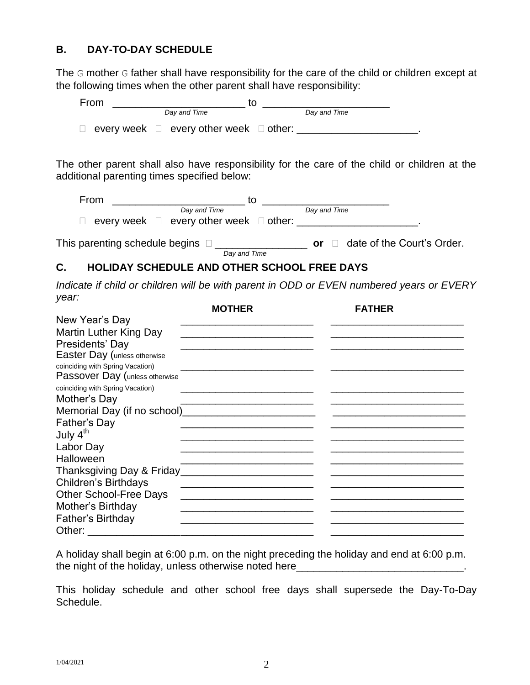# **B. DAY-TO-DAY SCHEDULE**

The G mother G father shall have responsibility for the care of the child or children except at the following times when the other parent shall have responsibility:

| From |                                                         |              |  |
|------|---------------------------------------------------------|--------------|--|
|      | Day and Time                                            | Day and Time |  |
|      | $\Box$ every week $\Box$ every other week $\Box$ other: |              |  |

The other parent shall also have responsibility for the care of the child or children at the additional parenting times specified below:

| From                                     | το                                               |              |                            |
|------------------------------------------|--------------------------------------------------|--------------|----------------------------|
|                                          | Day and Time                                     | Day and Time |                            |
|                                          | every week $\Box$ every other week $\Box$ other: |              |                            |
| This parenting schedule begins $\square$ |                                                  | or           | date of the Court's Order. |
|                                          | Day and Time                                     |              |                            |

# **C. HOLIDAY SCHEDULE AND OTHER SCHOOL FREE DAYS**

*Indicate if child or children will be with parent in ODD or EVEN numbered years or EVERY year:*

|                                  | <b>MOTHER</b> | <b>FATHER</b> |
|----------------------------------|---------------|---------------|
| New Year's Day                   |               |               |
| <b>Martin Luther King Day</b>    |               |               |
| Presidents' Day                  |               |               |
| Easter Day (unless otherwise     |               |               |
| coinciding with Spring Vacation) |               |               |
| Passover Day (unless otherwise   |               |               |
| coinciding with Spring Vacation) |               |               |
| Mother's Day                     |               |               |
|                                  |               |               |
| Father's Day                     |               |               |
| July 4 <sup>th</sup>             |               |               |
| Labor Day                        |               |               |
| Halloween                        |               |               |
|                                  |               |               |
| <b>Children's Birthdays</b>      |               |               |
| <b>Other School-Free Days</b>    |               |               |
| Mother's Birthday                |               |               |
| Father's Birthday                |               |               |
| Other:                           |               |               |

A holiday shall begin at 6:00 p.m. on the night preceding the holiday and end at 6:00 p.m. the night of the holiday, unless otherwise noted here\_\_\_\_\_\_\_\_\_\_\_\_\_\_\_\_\_\_\_\_\_\_\_\_\_\_\_\_

This holiday schedule and other school free days shall supersede the Day-To-Day Schedule.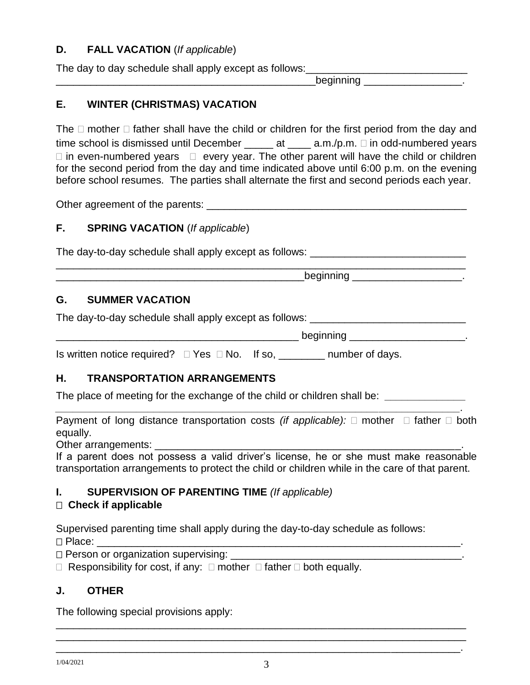# **D. FALL VACATION** (*If applicable*)

The day to day schedule shall apply except as follows:

 $\blacksquare$  beginning  $\blacksquare$ 

# **E. WINTER (CHRISTMAS) VACATION**

The  $\Box$  mother  $\Box$  father shall have the child or children for the first period from the day and time school is dismissed until December  $\_\_\_\_\$ at  $\_\_\_\$ a.m./p.m.  $\Box$  in odd-numbered years  $\Box$  in even-numbered years  $\Box$  every year. The other parent will have the child or children for the second period from the day and time indicated above until 6:00 p.m. on the evening before school resumes. The parties shall alternate the first and second periods each year.

Other agreement of the parents: \_\_\_\_\_\_\_\_\_\_\_\_\_\_\_\_\_\_\_\_\_\_\_\_\_\_\_\_\_\_\_\_\_\_\_\_\_\_\_\_\_\_\_\_\_

# **F. SPRING VACATION** (*If applicable*)

The day-to-day schedule shall apply except as follows: \_\_\_\_\_\_\_\_\_\_\_\_\_\_\_\_\_\_\_\_\_\_\_\_\_ \_\_\_\_\_\_\_\_\_\_\_\_\_\_\_\_\_\_\_\_\_\_\_\_\_\_\_\_\_\_\_\_\_\_\_\_\_\_\_\_\_\_\_\_\_\_\_\_\_\_\_\_\_\_\_\_\_\_\_\_\_\_\_\_\_\_\_\_\_\_\_

 $\blacksquare$  beginning  $\blacksquare$ 

# **G. SUMMER VACATION**

The day-to-day schedule shall apply except as follows: \_\_\_\_\_\_\_\_\_\_\_\_\_\_\_\_\_\_\_\_\_\_\_\_\_

 $\blacksquare$  beginning  $\blacksquare$ 

Is written notice required?  $\Box$  Yes  $\Box$  No. If so, \_\_\_\_\_\_\_\_ number of days.

# **H. TRANSPORTATION ARRANGEMENTS**

The place of meeting for the exchange of the child or children shall be: *\_\_\_\_\_\_\_\_\_\_\_\_\_\_*

Payment of long distance transportation costs *(if applicable):*  $\Box$  mother  $\Box$  father  $\Box$  both equally.

*\_\_\_\_\_\_\_\_\_\_\_\_\_\_\_\_\_\_\_\_\_\_\_\_\_\_\_\_\_\_\_\_\_\_\_\_\_\_\_\_\_\_\_\_\_\_\_\_\_\_\_\_\_\_\_\_\_\_\_\_\_\_\_\_\_\_\_\_\_\_.*

Other arrangements:

If a parent does not possess a valid driver's license, he or she must make reasonable transportation arrangements to protect the child or children while in the care of that parent.

# **I. SUPERVISION OF PARENTING TIME** *(If applicable)*

# **Check if applicable**

Supervised parenting time shall apply during the day-to-day schedule as follows: Place: \_\_\_\_\_\_\_\_\_\_\_\_\_\_\_\_\_\_\_\_\_\_\_\_\_\_\_\_\_\_\_\_\_\_\_\_\_\_\_\_\_\_\_\_\_\_\_\_\_\_\_\_\_\_\_\_\_\_\_\_\_\_\_.

 $\Box$  Person or organization supervising:

 $\Box$  Responsibility for cost, if any:  $\Box$  mother  $\Box$  father  $\Box$  both equally.

# **J. OTHER**

The following special provisions apply:

\_\_\_\_\_\_\_\_\_\_\_\_\_\_\_\_\_\_\_\_\_\_\_\_\_\_\_\_\_\_\_\_\_\_\_\_\_\_\_\_\_\_\_\_\_\_\_\_\_\_\_\_\_\_\_\_\_\_\_\_\_\_\_\_\_\_\_\_\_\_\_ \_\_\_\_\_\_\_\_\_\_\_\_\_\_\_\_\_\_\_\_\_\_\_\_\_\_\_\_\_\_\_\_\_\_\_\_\_\_\_\_\_\_\_\_\_\_\_\_\_\_\_\_\_\_\_\_\_\_\_\_\_\_\_\_\_\_\_\_\_\_\_ \_\_\_\_\_\_\_\_\_\_\_\_\_\_\_\_\_\_\_\_\_\_\_\_\_\_\_\_\_\_\_\_\_\_\_\_\_\_\_\_\_\_\_\_\_\_\_\_\_\_\_\_\_\_\_\_\_\_\_\_\_\_\_\_\_\_\_\_\_\_.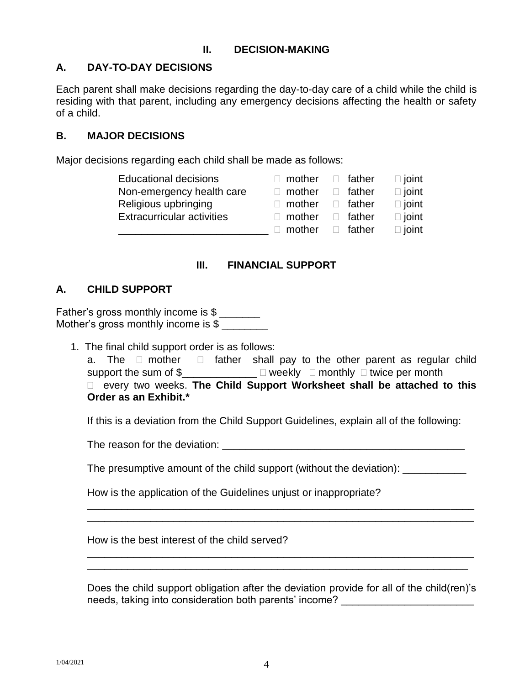# **II. DECISION-MAKING**

# **A. DAY-TO-DAY DECISIONS**

Each parent shall make decisions regarding the day-to-day care of a child while the child is residing with that parent, including any emergency decisions affecting the health or safety of a child.

#### **B. MAJOR DECISIONS**

Major decisions regarding each child shall be made as follows:

| <b>Educational decisions</b>      | $\Box$ mother | $\Box$ father | $\Box$ joint |
|-----------------------------------|---------------|---------------|--------------|
| Non-emergency health care         | $\Box$ mother | $\Box$ father | $\Box$ joint |
| Religious upbringing              | $\Box$ mother | $\Box$ father | $\Box$ joint |
| <b>Extracurricular activities</b> | $\Box$ mother | $\Box$ father | $\Box$ joint |
|                                   | mother        | $\Box$ father | $\Box$ joint |

#### **III. FINANCIAL SUPPORT**

#### **A. CHILD SUPPORT**

Father's gross monthly income is \$ Mother's gross monthly income is \$

1. The final child support order is as follows:

|  | a. The $\Box$ mother $\Box$ father shall pay to the other parent as regular child               |  |  |  |  |  |
|--|-------------------------------------------------------------------------------------------------|--|--|--|--|--|
|  | support the sum of $\text{\$$ _____________ $\Box$ weekly $\Box$ monthly $\Box$ twice per month |  |  |  |  |  |
|  | □ every two weeks. The Child Support Worksheet shall be attached to this                        |  |  |  |  |  |
|  | Order as an Exhibit.*                                                                           |  |  |  |  |  |

If this is a deviation from the Child Support Guidelines, explain all of the following:

The reason for the deviation: \_\_\_\_\_\_\_\_\_\_\_\_\_\_\_\_\_\_\_\_\_\_\_\_\_\_\_\_\_\_\_\_\_\_\_\_\_\_\_\_\_\_

The presumptive amount of the child support (without the deviation): \_\_\_\_\_\_\_\_\_\_\_

\_\_\_\_\_\_\_\_\_\_\_\_\_\_\_\_\_\_\_\_\_\_\_\_\_\_\_\_\_\_\_\_\_\_\_\_\_\_\_\_\_\_\_\_\_\_\_\_\_\_\_\_\_\_\_\_\_\_\_\_\_\_\_\_\_\_\_ \_\_\_\_\_\_\_\_\_\_\_\_\_\_\_\_\_\_\_\_\_\_\_\_\_\_\_\_\_\_\_\_\_\_\_\_\_\_\_\_\_\_\_\_\_\_\_\_\_\_\_\_\_\_\_\_\_\_\_\_\_\_\_\_\_\_\_

\_\_\_\_\_\_\_\_\_\_\_\_\_\_\_\_\_\_\_\_\_\_\_\_\_\_\_\_\_\_\_\_\_\_\_\_\_\_\_\_\_\_\_\_\_\_\_\_\_\_\_\_\_\_\_\_\_\_\_\_\_\_\_\_\_\_\_

How is the application of the Guidelines unjust or inappropriate?

How is the best interest of the child served?

Does the child support obligation after the deviation provide for all of the child(ren)'s needs, taking into consideration both parents' income?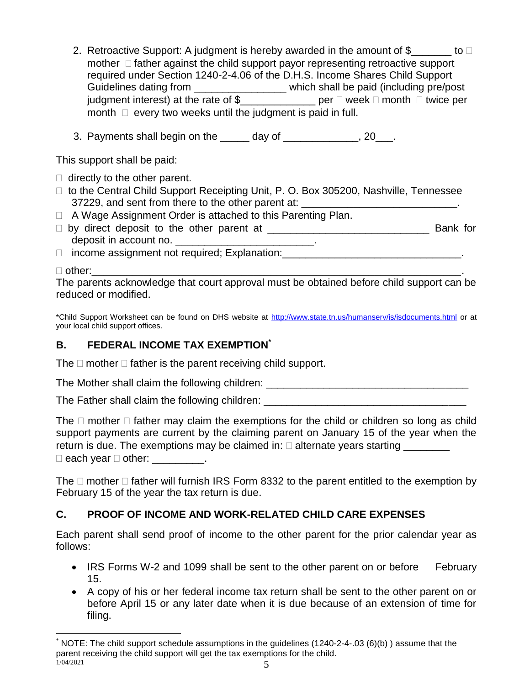- 2. Retroactive Support: A judgment is hereby awarded in the amount of  $\$\qquad \qquad$  to  $\Box$ mother  $\Box$  father against the child support payor representing retroactive support required under Section 1240-2-4.06 of the D.H.S. Income Shares Child Support Guidelines dating from \_\_\_\_\_\_\_\_\_\_\_\_\_\_\_\_\_\_\_ which shall be paid (including pre/post judgment interest) at the rate of  $\frac{1}{2}$  [100]  $\frac{1}{2}$  per  $\Box$  week  $\Box$  month  $\Box$  twice per month  $\Box$  every two weeks until the judgment is paid in full.
- 3. Payments shall begin on the \_\_\_\_\_ day of \_\_\_\_\_\_\_\_\_\_\_\_\_, 20\_\_\_.

This support shall be paid:

- $\Box$  directly to the other parent.
- □ to the Central Child Support Receipting Unit, P. O. Box 305200, Nashville, Tennessee 37229, and sent from there to the other parent at: \_\_\_\_\_\_\_\_\_\_\_\_\_\_\_\_\_\_\_\_\_\_\_\_\_\_\_\_\_
- □ A Wage Assignment Order is attached to this Parenting Plan.
- $\Box$  by direct deposit to the other parent at  $\Box$   $\Box$   $\Box$   $\Box$   $\Box$   $\Box$  Bank for deposit in account no. \_\_\_\_\_\_\_\_\_\_\_\_\_\_\_\_\_\_\_\_\_\_\_\_\_\_\_.
- $\Box$  income assignment not required; Explanation:

#### other:\_\_\_\_\_\_\_\_\_\_\_\_\_\_\_\_\_\_\_\_\_\_\_\_\_\_\_\_\_\_\_\_\_\_\_\_\_\_\_\_\_\_\_\_\_\_\_\_\_\_\_\_\_\_\_\_\_\_\_\_\_\_\_\_.

 $\overline{a}$ 

The parents acknowledge that court approval must be obtained before child support can be reduced or modified.

\*Child Support Worksheet can be found on DHS website at<http://www.state.tn.us/humanserv/is/isdocuments.html> or at your local child support offices.

# **B. FEDERAL INCOME TAX EXEMPTION\***

The  $\Box$  mother  $\Box$  father is the parent receiving child support.

The Mother shall claim the following children: \_\_\_\_\_\_\_\_\_\_\_\_\_\_\_\_\_\_\_\_\_\_\_\_\_\_\_\_\_\_\_\_\_

The Father shall claim the following children:

The  $\Box$  mother  $\Box$  father may claim the exemptions for the child or children so long as child support payments are current by the claiming parent on January 15 of the year when the return is due. The exemptions may be claimed in:  $\square$  alternate years starting  $\Box$  each year  $\Box$  other:  $\_\_\_\_\_\_\_\_\_\_\_\_\_\_\_\_\_\_$ .

The  $\Box$  mother  $\Box$  father will furnish IRS Form 8332 to the parent entitled to the exemption by February 15 of the year the tax return is due.

# **C. PROOF OF INCOME AND WORK-RELATED CHILD CARE EXPENSES**

Each parent shall send proof of income to the other parent for the prior calendar year as follows:

- IRS Forms W-2 and 1099 shall be sent to the other parent on or beforeFebruary 15.
- A copy of his or her federal income tax return shall be sent to the other parent on or before April 15 or any later date when it is due because of an extension of time for filing.

 $1/04/2021$  5 \* NOTE: The child support schedule assumptions in the guidelines (1240-2-4-.03 (6)(b) ) assume that the parent receiving the child support will get the tax exemptions for the child.<br> $\frac{1}{104/2021}$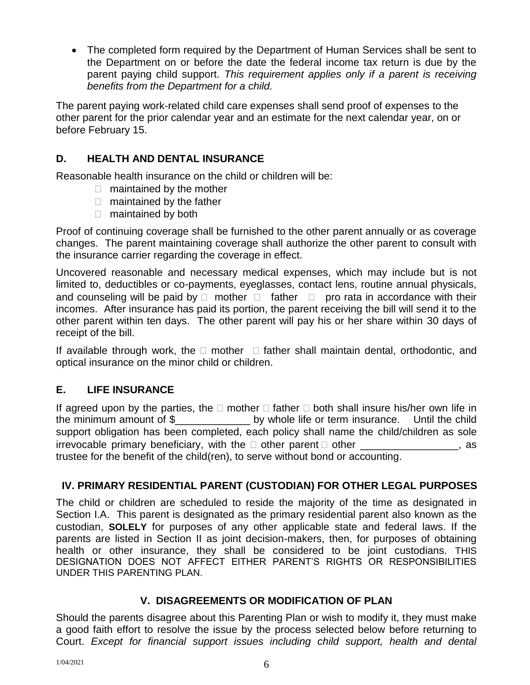The completed form required by the Department of Human Services shall be sent to the Department on or before the date the federal income tax return is due by the parent paying child support. *This requirement applies only if a parent is receiving benefits from the Department for a child.*

The parent paying work-related child care expenses shall send proof of expenses to the other parent for the prior calendar year and an estimate for the next calendar year, on or before February 15.

# **D. HEALTH AND DENTAL INSURANCE**

Reasonable health insurance on the child or children will be:

- □ maintained by the mother
- □ maintained by the father
- maintained by both

Proof of continuing coverage shall be furnished to the other parent annually or as coverage changes. The parent maintaining coverage shall authorize the other parent to consult with the insurance carrier regarding the coverage in effect.

Uncovered reasonable and necessary medical expenses, which may include but is not limited to, deductibles or co-payments, eyeglasses, contact lens, routine annual physicals, and counseling will be paid by  $\Box$  mother  $\Box$  father  $\Box$  pro rata in accordance with their incomes. After insurance has paid its portion, the parent receiving the bill will send it to the other parent within ten days. The other parent will pay his or her share within 30 days of receipt of the bill.

If available through work, the  $\Box$  mother  $\Box$  father shall maintain dental, orthodontic, and optical insurance on the minor child or children.

# **E. LIFE INSURANCE**

If agreed upon by the parties, the  $\Box$  mother  $\Box$  father  $\Box$  both shall insure his/her own life in the minimum amount of \$\_\_\_\_\_\_\_\_\_\_\_\_\_ by whole life or term insurance. Until the child support obligation has been completed, each policy shall name the child/children as sole irrevocable primary beneficiary, with the  $\Box$  other parent  $\Box$  other \_\_\_\_\_\_\_\_\_\_\_\_\_\_\_, as trustee for the benefit of the child(ren), to serve without bond or accounting.

# **IV. PRIMARY RESIDENTIAL PARENT (CUSTODIAN) FOR OTHER LEGAL PURPOSES**

The child or children are scheduled to reside the majority of the time as designated in Section I.A. This parent is designated as the primary residential parent also known as the custodian, **SOLELY** for purposes of any other applicable state and federal laws. If the parents are listed in Section II as joint decision-makers, then, for purposes of obtaining health or other insurance, they shall be considered to be joint custodians. THIS DESIGNATION DOES NOT AFFECT EITHER PARENT'S RIGHTS OR RESPONSIBILITIES UNDER THIS PARENTING PLAN.

#### **V. DISAGREEMENTS OR MODIFICATION OF PLAN**

Should the parents disagree about this Parenting Plan or wish to modify it, they must make a good faith effort to resolve the issue by the process selected below before returning to Court. *Except for financial support issues including child support, health and dental*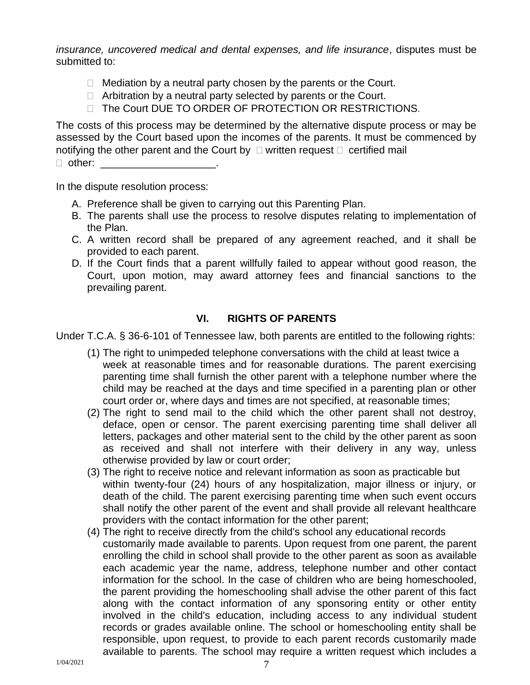*insurance, uncovered medical and dental expenses, and life insurance*, disputes must be submitted to:

- $\Box$  Mediation by a neutral party chosen by the parents or the Court.
- $\Box$  Arbitration by a neutral party selected by parents or the Court.
- □ The Court DUE TO ORDER OF PROTECTION OR RESTRICTIONS.

The costs of this process may be determined by the alternative dispute process or may be assessed by the Court based upon the incomes of the parents. It must be commenced by notifying the other parent and the Court by  $\Box$  written request  $\Box$  certified mail

 $\Box$  other:

In the dispute resolution process:

- A. Preference shall be given to carrying out this Parenting Plan.
- B. The parents shall use the process to resolve disputes relating to implementation of the Plan.
- C. A written record shall be prepared of any agreement reached, and it shall be provided to each parent.
- D. If the Court finds that a parent willfully failed to appear without good reason, the Court, upon motion, may award attorney fees and financial sanctions to the prevailing parent.

# **VI. RIGHTS OF PARENTS**

Under T.C.A. § 36-6-101 of Tennessee law, both parents are entitled to the following rights:

- (1) The right to unimpeded telephone conversations with the child at least twice a week at reasonable times and for reasonable durations. The parent exercising parenting time shall furnish the other parent with a telephone number where the child may be reached at the days and time specified in a parenting plan or other court order or, where days and times are not specified, at reasonable times;
- (2) The right to send mail to the child which the other parent shall not destroy, deface, open or censor. The parent exercising parenting time shall deliver all letters, packages and other material sent to the child by the other parent as soon as received and shall not interfere with their delivery in any way, unless otherwise provided by law or court order;
- (3) The right to receive notice and relevant information as soon as practicable but within twenty-four (24) hours of any hospitalization, major illness or injury, or death of the child. The parent exercising parenting time when such event occurs shall notify the other parent of the event and shall provide all relevant healthcare providers with the contact information for the other parent;
- (4) The right to receive directly from the child's school any educational records customarily made available to parents. Upon request from one parent, the parent enrolling the child in school shall provide to the other parent as soon as available each academic year the name, address, telephone number and other contact information for the school. In the case of children who are being homeschooled, the parent providing the homeschooling shall advise the other parent of this fact along with the contact information of any sponsoring entity or other entity involved in the child's education, including access to any individual student records or grades available online. The school or homeschooling entity shall be responsible, upon request, to provide to each parent records customarily made available to parents. The school may require a written request which includes a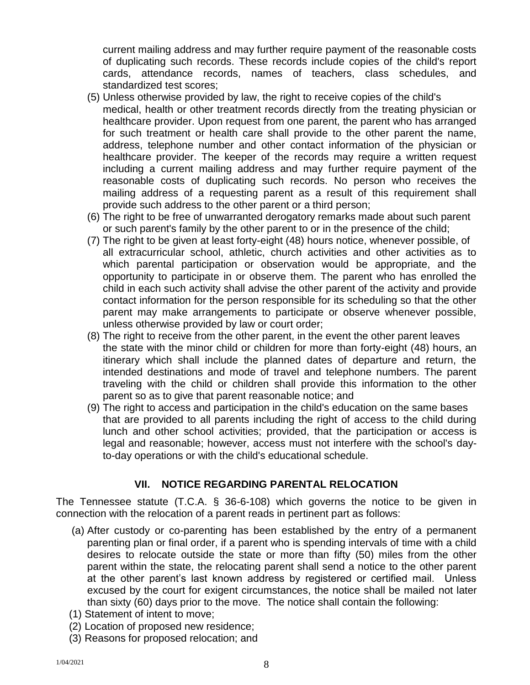current mailing address and may further require payment of the reasonable costs of duplicating such records. These records include copies of the child's report cards, attendance records, names of teachers, class schedules, and standardized test scores;

- (5) Unless otherwise provided by law, the right to receive copies of the child's medical, health or other treatment records directly from the treating physician or healthcare provider. Upon request from one parent, the parent who has arranged for such treatment or health care shall provide to the other parent the name, address, telephone number and other contact information of the physician or healthcare provider. The keeper of the records may require a written request including a current mailing address and may further require payment of the reasonable costs of duplicating such records. No person who receives the mailing address of a requesting parent as a result of this requirement shall provide such address to the other parent or a third person;
- (6) The right to be free of unwarranted derogatory remarks made about such parent or such parent's family by the other parent to or in the presence of the child;
- (7) The right to be given at least forty-eight (48) hours notice, whenever possible, of all extracurricular school, athletic, church activities and other activities as to which parental participation or observation would be appropriate, and the opportunity to participate in or observe them. The parent who has enrolled the child in each such activity shall advise the other parent of the activity and provide contact information for the person responsible for its scheduling so that the other parent may make arrangements to participate or observe whenever possible, unless otherwise provided by law or court order;
- (8) The right to receive from the other parent, in the event the other parent leaves the state with the minor child or children for more than forty-eight (48) hours, an itinerary which shall include the planned dates of departure and return, the intended destinations and mode of travel and telephone numbers. The parent traveling with the child or children shall provide this information to the other parent so as to give that parent reasonable notice; and
- (9) The right to access and participation in the child's education on the same bases that are provided to all parents including the right of access to the child during lunch and other school activities; provided, that the participation or access is legal and reasonable; however, access must not interfere with the school's dayto-day operations or with the child's educational schedule.

# **VII. NOTICE REGARDING PARENTAL RELOCATION**

The Tennessee statute (T.C.A. § 36-6-108) which governs the notice to be given in connection with the relocation of a parent reads in pertinent part as follows:

- (a) After custody or co-parenting has been established by the entry of a permanent parenting plan or final order, if a parent who is spending intervals of time with a child desires to relocate outside the state or more than fifty (50) miles from the other parent within the state, the relocating parent shall send a notice to the other parent at the other parent's last known address by registered or certified mail. Unless excused by the court for exigent circumstances, the notice shall be mailed not later than sixty (60) days prior to the move. The notice shall contain the following:
- (1) Statement of intent to move;
- (2) Location of proposed new residence;
- (3) Reasons for proposed relocation; and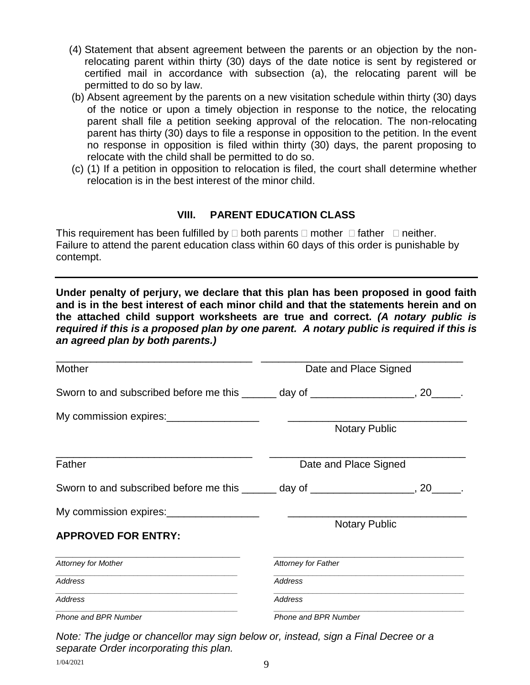- (4) Statement that absent agreement between the parents or an objection by the nonrelocating parent within thirty (30) days of the date notice is sent by registered or certified mail in accordance with subsection (a), the relocating parent will be permitted to do so by law.
- (b) Absent agreement by the parents on a new visitation schedule within thirty (30) days of the notice or upon a timely objection in response to the notice, the relocating parent shall file a petition seeking approval of the relocation. The non-relocating parent has thirty (30) days to file a response in opposition to the petition. In the event no response in opposition is filed within thirty (30) days, the parent proposing to relocate with the child shall be permitted to do so.
- (c) (1) If a petition in opposition to relocation is filed, the court shall determine whether relocation is in the best interest of the minor child.

#### **VIII. PARENT EDUCATION CLASS**

This requirement has been fulfilled by  $\Box$  both parents  $\Box$  mother  $\Box$  father  $\Box$  neither. Failure to attend the parent education class within 60 days of this order is punishable by contempt.

**Under penalty of perjury, we declare that this plan has been proposed in good faith and is in the best interest of each minor child and that the statements herein and on the attached child support worksheets are true and correct.** *(A notary public is required if this is a proposed plan by one parent. A notary public is required if this is an agreed plan by both parents.)*

| <b>Mother</b>                                                                                                                    | Date and Place Signed      |  |  |  |
|----------------------------------------------------------------------------------------------------------------------------------|----------------------------|--|--|--|
| Sworn to and subscribed before me this ______ day of __________________, 20_____.                                                |                            |  |  |  |
| My commission expires: _____________________                                                                                     | <b>Notary Public</b>       |  |  |  |
| Father                                                                                                                           | Date and Place Signed      |  |  |  |
| Sworn to and subscribed before me this _______ day of ___________________, 20_____.                                              |                            |  |  |  |
| My commission expires: _____________________<br><b>APPROVED FOR ENTRY:</b>                                                       | <b>Notary Public</b>       |  |  |  |
| <b>Attorney for Mother</b>                                                                                                       | <b>Attorney for Father</b> |  |  |  |
| Address                                                                                                                          | Address                    |  |  |  |
| <u> 1989 - Johann Stoff, deutscher Stoff, der Stoff, der Stoff, der Stoff, der Stoff, der Stoff, der Stoff, der S</u><br>Address | <b>Address</b>             |  |  |  |
| Phone and BPR Number                                                                                                             | Phone and BPR Number       |  |  |  |

*Note: The judge or chancellor may sign below or, instead, sign a Final Decree or a separate Order incorporating this plan.*